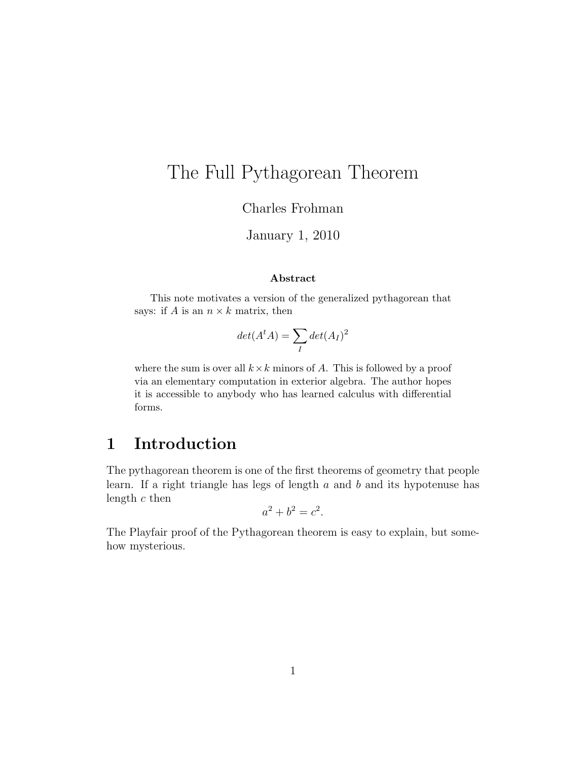# The Full Pythagorean Theorem

Charles Frohman

January 1, 2010

#### Abstract

This note motivates a version of the generalized pythagorean that says: if A is an  $n \times k$  matrix, then

$$
det(A^t A) = \sum_{I} det(A_I)^2
$$

where the sum is over all  $k \times k$  minors of A. This is followed by a proof via an elementary computation in exterior algebra. The author hopes it is accessible to anybody who has learned calculus with differential forms.

# 1 Introduction

The pythagorean theorem is one of the first theorems of geometry that people learn. If a right triangle has legs of length  $a$  and  $b$  and its hypotenuse has length  $c$  then

$$
a^2 + b^2 = c^2.
$$

The Playfair proof of the Pythagorean theorem is easy to explain, but somehow mysterious.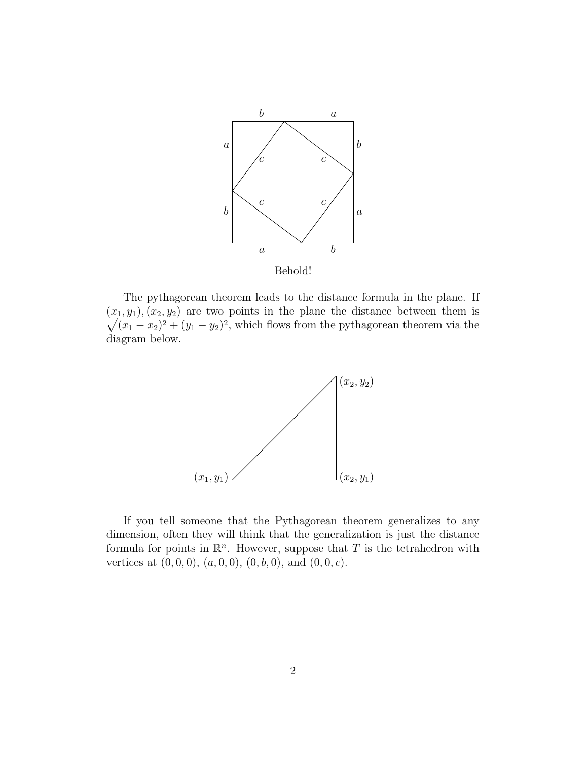

Behold!

The pythagorean theorem leads to the distance formula in the plane. If  $\sqrt{ }$  $(x_1, y_1), (x_2, y_2)$  are two points in the plane the distance between them is  $(x_1 - x_2)^2 + (y_1 - y_2)^2$ , which flows from the pythagorean theorem via the diagram below.



If you tell someone that the Pythagorean theorem generalizes to any dimension, often they will think that the generalization is just the distance formula for points in  $\mathbb{R}^n$ . However, suppose that T is the tetrahedron with vertices at  $(0, 0, 0)$ ,  $(a, 0, 0)$ ,  $(0, b, 0)$ , and  $(0, 0, c)$ .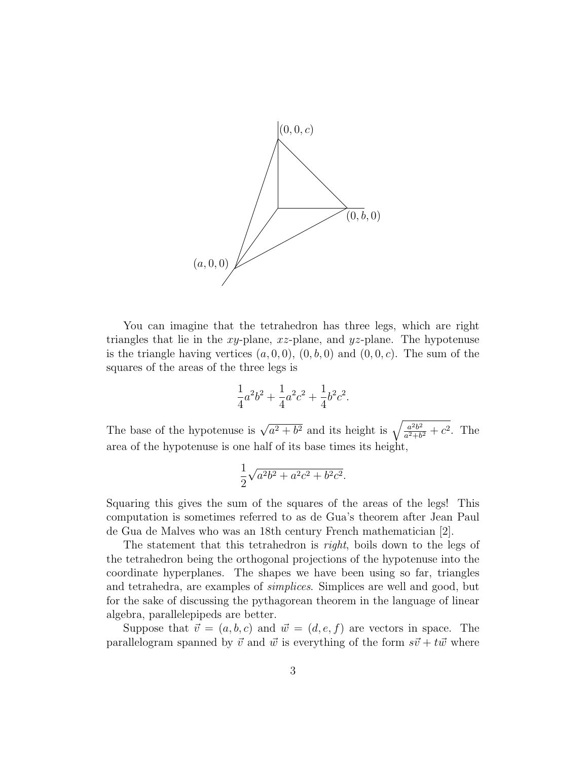

You can imagine that the tetrahedron has three legs, which are right triangles that lie in the  $xy$ -plane,  $xz$ -plane, and  $yz$ -plane. The hypotenuse is the triangle having vertices  $(a, 0, 0), (0, b, 0)$  and  $(0, 0, c)$ . The sum of the squares of the areas of the three legs is

$$
\frac{1}{4}a^2b^2 + \frac{1}{4}a^2c^2 + \frac{1}{4}b^2c^2.
$$

The base of the hypotenuse is  $\sqrt{a^2 + b^2}$  and its height is  $\sqrt{\frac{a^2b^2}{a^2+b^2}}$  $\frac{a^2b^2}{a^2+b^2}+c^2$ . The area of the hypotenuse is one half of its base times its height,

$$
\frac{1}{2}\sqrt{a^2b^2 + a^2c^2 + b^2c^2}.
$$

Squaring this gives the sum of the squares of the areas of the legs! This computation is sometimes referred to as de Gua's theorem after Jean Paul de Gua de Malves who was an 18th century French mathematician [2].

The statement that this tetrahedron is *right*, boils down to the legs of the tetrahedron being the orthogonal projections of the hypotenuse into the coordinate hyperplanes. The shapes we have been using so far, triangles and tetrahedra, are examples of simplices. Simplices are well and good, but for the sake of discussing the pythagorean theorem in the language of linear algebra, parallelepipeds are better.

Suppose that  $\vec{v} = (a, b, c)$  and  $\vec{w} = (d, e, f)$  are vectors in space. The parallelogram spanned by  $\vec{v}$  and  $\vec{w}$  is everything of the form  $s\vec{v} + t\vec{w}$  where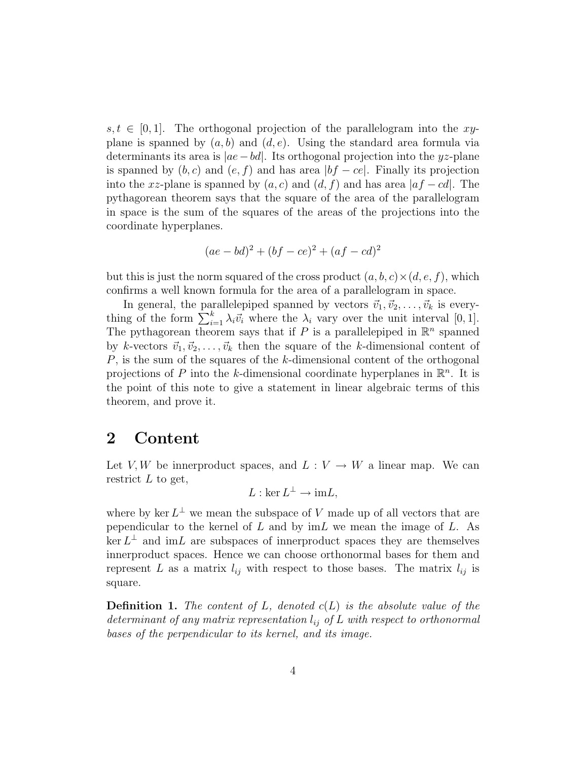$s, t \in [0, 1]$ . The orthogonal projection of the parallelogram into the xyplane is spanned by  $(a, b)$  and  $(d, e)$ . Using the standard area formula via determinants its area is  $|ae-bd|$ . Its orthogonal projection into the yz-plane is spanned by  $(b, c)$  and  $(e, f)$  and has area  $|bf - ce|$ . Finally its projection into the xz-plane is spanned by  $(a, c)$  and  $(d, f)$  and has area  $|af - cd|$ . The pythagorean theorem says that the square of the area of the parallelogram in space is the sum of the squares of the areas of the projections into the coordinate hyperplanes.

$$
(ae - bd)^2 + (bf - ce)^2 + (af - cd)^2
$$

but this is just the norm squared of the cross product  $(a, b, c) \times (d, e, f)$ , which confirms a well known formula for the area of a parallelogram in space.

In general, the parallelepiped spanned by vectors  $\vec{v}_1, \vec{v}_2, \dots, \vec{v}_k$  is everything of the form  $\sum_{i=1}^{k} \lambda_i \vec{v}_i$  where the  $\lambda_i$  vary over the unit interval  $[0, 1]$ . The pythagorean theorem says that if P is a parallelepiped in  $\mathbb{R}^n$  spanned by k-vectors  $\vec{v}_1, \vec{v}_2, \ldots, \vec{v}_k$  then the square of the k-dimensional content of P, is the sum of the squares of the k-dimensional content of the orthogonal projections of P into the k-dimensional coordinate hyperplanes in  $\mathbb{R}^n$ . It is the point of this note to give a statement in linear algebraic terms of this theorem, and prove it.

#### 2 Content

Let V, W be innerproduct spaces, and  $L: V \to W$  a linear map. We can restrict  $L$  to get,

$$
L:\ker L^{\perp}\to \mathrm{im} L,
$$

where by ker  $L^{\perp}$  we mean the subspace of V made up of all vectors that are pependicular to the kernel of  $L$  and by  $\mathrm{im} L$  we mean the image of  $L$ . As  $\ker L^{\perp}$  and  $\mathrm{im}L$  are subspaces of innerproduct spaces they are themselves innerproduct spaces. Hence we can choose orthonormal bases for them and represent L as a matrix  $l_{ij}$  with respect to those bases. The matrix  $l_{ij}$  is square.

**Definition 1.** The content of L, denoted  $c(L)$  is the absolute value of the determinant of any matrix representation  $l_{ij}$  of L with respect to orthonormal bases of the perpendicular to its kernel, and its image.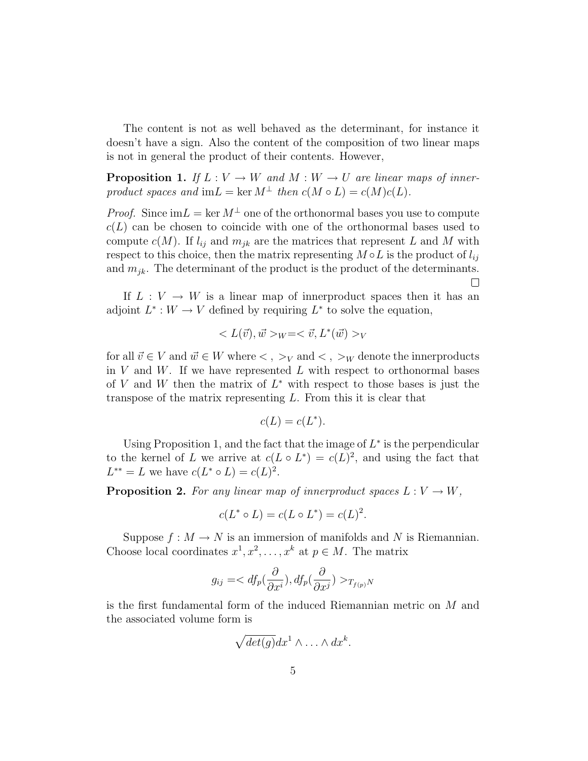The content is not as well behaved as the determinant, for instance it doesn't have a sign. Also the content of the composition of two linear maps is not in general the product of their contents. However,

**Proposition 1.** If  $L: V \to W$  and  $M: W \to U$  are linear maps of innerproduct spaces and im $L = \ker M^{\perp}$  then  $c(M \circ L) = c(M)c(L)$ .

*Proof.* Since  $\text{im} L = \text{ker} M^{\perp}$  one of the orthonormal bases you use to compute  $c(L)$  can be chosen to coincide with one of the orthonormal bases used to compute  $c(M)$ . If  $l_{ij}$  and  $m_{jk}$  are the matrices that represent L and M with respect to this choice, then the matrix representing  $M \circ L$  is the product of  $l_{ij}$ and  $m_{jk}$ . The determinant of the product is the product of the determinants.  $\Box$ 

If  $L: V \to W$  is a linear map of innerproduct spaces then it has an adjoint  $L^*: W \to V$  defined by requiring  $L^*$  to solve the equation,

$$
\langle L(\vec{v}), \vec{w} \rangle_{W} = \langle \vec{v}, L^*(\vec{w}) \rangle_{V}
$$

for all  $\vec{v} \in V$  and  $\vec{w} \in W$  where  $\langle , \rangle_V$  and  $\langle , \rangle_W$  denote the innerproducts in  $V$  and  $W$ . If we have represented  $L$  with respect to orthonormal bases of V and W then the matrix of  $L^*$  with respect to those bases is just the transpose of the matrix representing L. From this it is clear that

$$
c(L) = c(L^*).
$$

Using Proposition 1, and the fact that the image of  $L^*$  is the perpendicular to the kernel of L we arrive at  $c(L \circ L^*) = c(L)^2$ , and using the fact that  $L^{**} = L$  we have  $c(L^* \circ L) = c(L)^2$ .

**Proposition 2.** For any linear map of innerproduct spaces  $L: V \to W$ ,

$$
c(L^* \circ L) = c(L \circ L^*) = c(L)^2.
$$

Suppose  $f : M \to N$  is an immersion of manifolds and N is Riemannian. Choose local coordinates  $x^1, x^2, \ldots, x^k$  at  $p \in M$ . The matrix

$$
g_{ij} = _{T_{f(p)}N}
$$

is the first fundamental form of the induced Riemannian metric on M and the associated volume form is

$$
\sqrt{det(g)}dx^1\wedge\ldots\wedge dx^k.
$$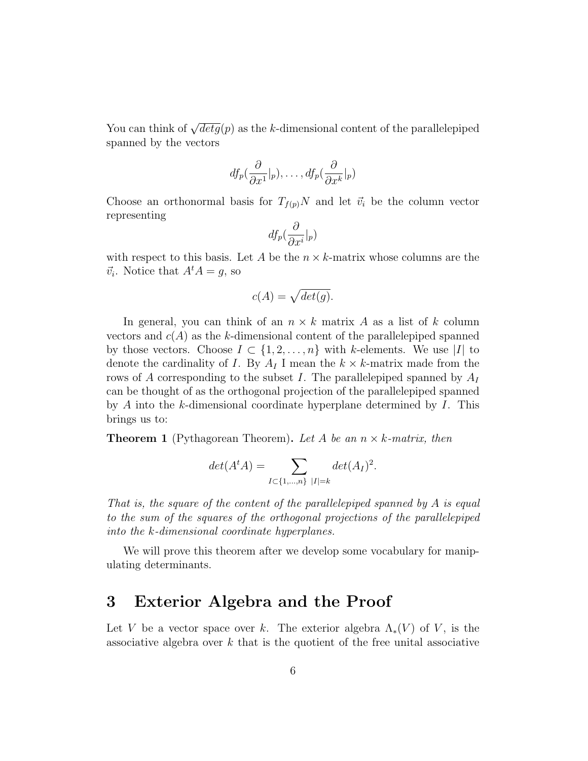You can think of  $\sqrt{det g}(p)$  as the k-dimensional content of the parallelepiped spanned by the vectors

$$
df_p(\frac{\partial}{\partial x^1}|_p), \ldots, df_p(\frac{\partial}{\partial x^k}|_p)
$$

Choose an orthonormal basis for  $T_{f(p)}N$  and let  $\vec{v}_i$  be the column vector representing

$$
df_p(\frac{\partial}{\partial x^i}|_p)
$$

with respect to this basis. Let A be the  $n \times k$ -matrix whose columns are the  $\vec{v}_i$ . Notice that  $A^t A = g$ , so

$$
c(A) = \sqrt{det(g)}.
$$

In general, you can think of an  $n \times k$  matrix A as a list of k column vectors and  $c(A)$  as the k-dimensional content of the parallelepiped spanned by those vectors. Choose  $I \subset \{1, 2, ..., n\}$  with k-elements. We use |I| to denote the cardinality of I. By  $A_I$  I mean the  $k \times k$ -matrix made from the rows of A corresponding to the subset I. The parallelepiped spanned by  $A_I$ can be thought of as the orthogonal projection of the parallelepiped spanned by A into the k-dimensional coordinate hyperplane determined by  $I$ . This brings us to:

**Theorem 1** (Pythagorean Theorem). Let A be an  $n \times k$ -matrix, then

$$
det(A^t A) = \sum_{I \subset \{1, ..., n\} \ |I| = k} det(A_I)^2.
$$

That is, the square of the content of the parallelepiped spanned by  $A$  is equal to the sum of the squares of the orthogonal projections of the parallelepiped into the k-dimensional coordinate hyperplanes.

We will prove this theorem after we develop some vocabulary for manipulating determinants.

### 3 Exterior Algebra and the Proof

Let V be a vector space over k. The exterior algebra  $\Lambda_*(V)$  of V, is the associative algebra over  $k$  that is the quotient of the free unital associative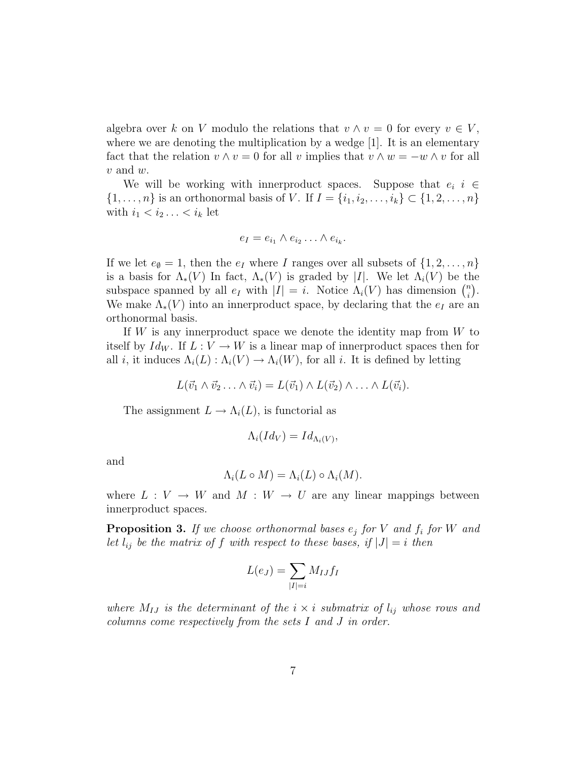algebra over k on V modulo the relations that  $v \wedge v = 0$  for every  $v \in V$ , where we are denoting the multiplication by a wedge  $[1]$ . It is an elementary fact that the relation  $v \wedge v = 0$  for all v implies that  $v \wedge w = -w \wedge v$  for all  $v$  and  $w$ .

We will be working with innerproduct spaces. Suppose that  $e_i$  i  $\in$  $\{1, \ldots, n\}$  is an orthonormal basis of V. If  $I = \{i_1, i_2, \ldots, i_k\} \subset \{1, 2, \ldots, n\}$ with  $i_1 < i_2 \ldots < i_k$  let

$$
e_I = e_{i_1} \wedge e_{i_2} \ldots \wedge e_{i_k}.
$$

If we let  $e_{\emptyset} = 1$ , then the  $e_I$  where I ranges over all subsets of  $\{1, 2, \ldots, n\}$ is a basis for  $\Lambda_*(V)$  In fact,  $\Lambda_*(V)$  is graded by |I|. We let  $\Lambda_i(V)$  be the subspace spanned by all  $e_I$  with  $|I| = i$ . Notice  $\Lambda_i(V)$  has dimension  $\binom{n}{i}$  $\binom{n}{i}$  . We make  $\Lambda_*(V)$  into an innerproduct space, by declaring that the  $e_I$  are an orthonormal basis.

If  $W$  is any innerproduct space we denote the identity map from  $W$  to itself by  $Id_W$ . If  $L: V \to W$  is a linear map of innerproduct spaces then for all i, it induces  $\Lambda_i(L): \Lambda_i(V) \to \Lambda_i(W)$ , for all i. It is defined by letting

$$
L(\vec{v}_1 \wedge \vec{v}_2 \ldots \wedge \vec{v}_i) = L(\vec{v}_1) \wedge L(\vec{v}_2) \wedge \ldots \wedge L(\vec{v}_i).
$$

The assignment  $L \to \Lambda_i(L)$ , is functorial as

$$
\Lambda_i(Id_V)=Id_{\Lambda_i(V)},
$$

and

$$
\Lambda_i(L \circ M) = \Lambda_i(L) \circ \Lambda_i(M).
$$

where  $L: V \to W$  and  $M: W \to U$  are any linear mappings between innerproduct spaces.

**Proposition 3.** If we choose orthonormal bases  $e_j$  for V and  $f_i$  for W and let  $l_{ij}$  be the matrix of f with respect to these bases, if  $|J| = i$  then

$$
L(e_J) = \sum_{|I|=i} M_{IJ} f_I
$$

where  $M_{IJ}$  is the determinant of the  $i \times i$  submatrix of  $l_{ij}$  whose rows and columns come respectively from the sets I and J in order.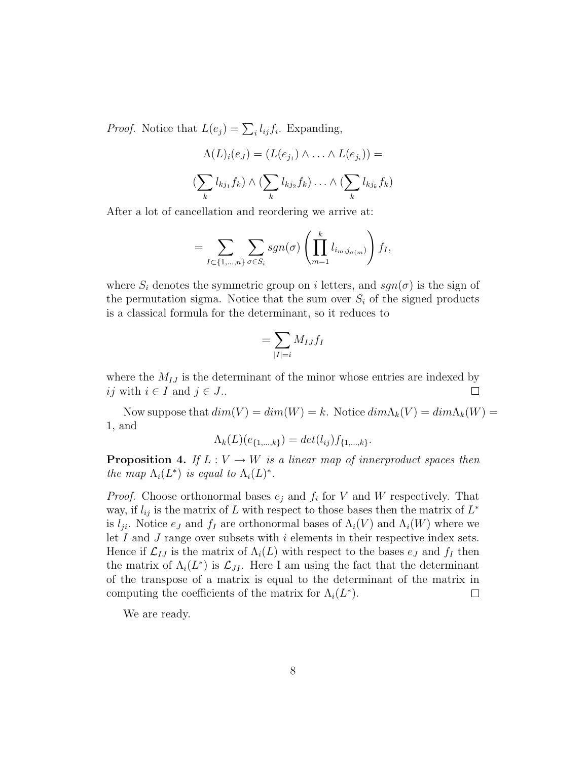*Proof.* Notice that  $L(e_j) = \sum_i l_{ij} f_i$ . Expanding,

$$
\Lambda(L)_i(e_J) = (L(e_{j_1}) \wedge \ldots \wedge L(e_{j_i})) =
$$

$$
(\sum_k l_{kj_1} f_k) \wedge (\sum_k l_{kj_2} f_k) \ldots \wedge (\sum_k l_{kj_k} f_k)
$$

After a lot of cancellation and reordering we arrive at:

$$
= \sum_{I \subset \{1,\ldots,n\}} \sum_{\sigma \in S_i} sgn(\sigma) \left( \prod_{m=1}^k l_{i_m,j_{\sigma(m)}} \right) f_I,
$$

where  $S_i$  denotes the symmetric group on i letters, and  $sgn(\sigma)$  is the sign of the permutation sigma. Notice that the sum over  $S_i$  of the signed products is a classical formula for the determinant, so it reduces to

$$
=\sum_{|I|=i}M_{IJ}f_I
$$

where the  $M_{IJ}$  is the determinant of the minor whose entries are indexed by ij with  $i \in I$  and  $j \in J$ ..  $\Box$ 

Now suppose that  $dim(V) = dim(W) = k$ . Notice  $dim\Lambda_k(V) = dim\Lambda_k(W) =$ 1, and

$$
\Lambda_k(L)(e_{\{1,\dots,k\}}) = det(l_{ij})f_{\{1,\dots,k\}}.
$$

**Proposition 4.** If  $L: V \to W$  is a linear map of innerproduct spaces then the map  $\Lambda_i(L^*)$  is equal to  $\Lambda_i(L)^*$ .

*Proof.* Choose orthonormal bases  $e_j$  and  $f_i$  for V and W respectively. That way, if  $l_{ij}$  is the matrix of L with respect to those bases then the matrix of  $L^*$ is  $l_{ji}$ . Notice  $e_j$  and  $f_I$  are orthonormal bases of  $\Lambda_i(V)$  and  $\Lambda_i(W)$  where we let  $I$  and  $J$  range over subsets with  $i$  elements in their respective index sets. Hence if  $\mathcal{L}_{IJ}$  is the matrix of  $\Lambda_i(L)$  with respect to the bases  $e_J$  and  $f_I$  then the matrix of  $\Lambda_i(L^*)$  is  $\mathcal{L}_{JI}$ . Here I am using the fact that the determinant of the transpose of a matrix is equal to the determinant of the matrix in computing the coefficients of the matrix for  $\Lambda_i(L^*)$ .  $\Box$ 

We are ready.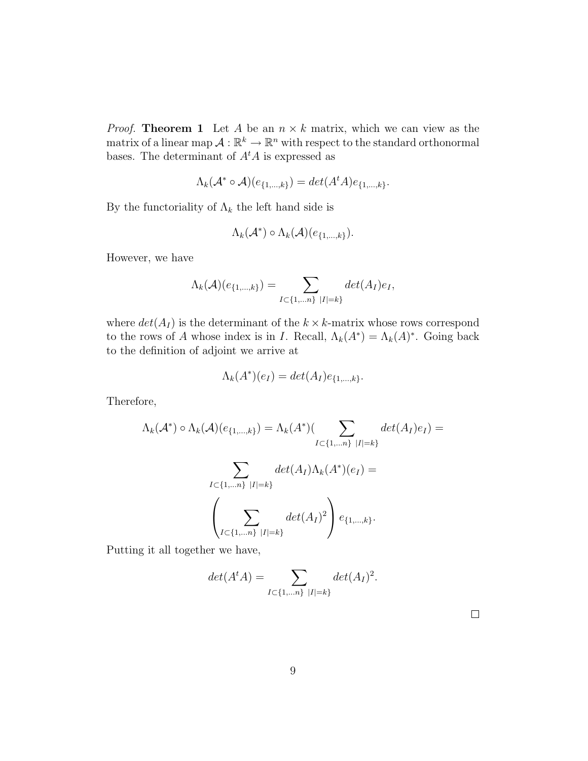*Proof.* Theorem 1 Let A be an  $n \times k$  matrix, which we can view as the matrix of a linear map  $\mathcal{A}: \mathbb{R}^k \to \mathbb{R}^n$  with respect to the standard orthonormal bases. The determinant of  $A<sup>t</sup>A$  is expressed as

$$
\Lambda_k(\mathcal{A}^* \circ \mathcal{A})(e_{\{1,\ldots,k\}}) = det(A^t A)e_{\{1,\ldots,k\}}.
$$

By the functoriality of  $\Lambda_k$  the left hand side is

$$
\Lambda_k(\mathcal{A}^*) \circ \Lambda_k(\mathcal{A})(e_{\{1,\ldots,k\}}).
$$

However, we have

$$
\Lambda_k(\mathcal{A})(e_{\{1,\ldots,k\}}) = \sum_{I \subset \{1,\ldots n\} \ |I|=k} det(A_I)e_I,
$$

where  $det(A_I)$  is the determinant of the  $k \times k$ -matrix whose rows correspond to the rows of A whose index is in I. Recall,  $\Lambda_k(A^*) = \Lambda_k(A)^*$ . Going back to the definition of adjoint we arrive at

$$
\Lambda_k(A^*)(e_I) = \det(A_I)e_{\{1,\ldots,k\}}.
$$

Therefore,

$$
\Lambda_k(\mathcal{A}^*) \circ \Lambda_k(\mathcal{A})(e_{\{1,\ldots,k\}}) = \Lambda_k(A^*)(\sum_{I \subset \{1,\ldots n\} \ |I|=k} det(A_I)e_I) =
$$

$$
\sum_{I \subset \{1,\dots n\} \ |I|=k} det(A_I) \Lambda_k(A^*)(e_I) =
$$

$$
\left(\sum_{I \subset \{1,\dots n\} \ |I|=k} det(A_I)^2\right) e_{\{1,\dots,k\}}.
$$

Putting it all together we have,

$$
det(A^t A) = \sum_{I \subset \{1, \dots n\} \ |I|=k} det(A_I)^2.
$$